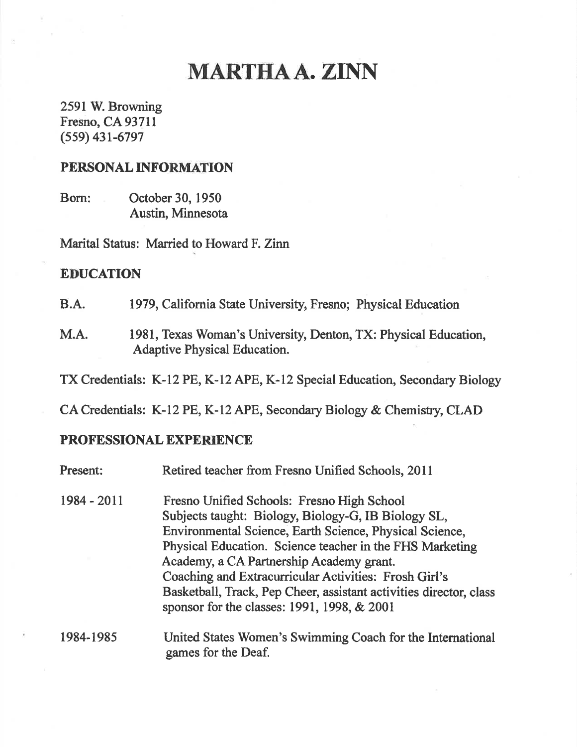# MARTHAA.ZTNN

2591W. Browning Fresno, CA 93711  $(559)$  431-6797

### PERSONAL INFORMATION

Born: October 30, 1950 Austin, Minnesota

Marital Status: Married to Howard F. Zinn

## EDUCATION

B.A. 1979, Califomia State University, Fresno; Physical Education

M.A. 1981, Texas Woman's University, Denton, TX: Physical Education, Adaptive Physical Education

TX Credentials: K-12 PE, K-12 APE, K-12 Special Education, Secondary Biology

CA Credentials: K-12 PE, K-12 APE, Secondary Biology & Chemisfiy, CLAD

### PROFESSIONAL EXPERIENCE

| Present:    | Retired teacher from Fresno Unified Schools, 2011                                                                                                                                                                                                                                                                                                                                                                                                  |
|-------------|----------------------------------------------------------------------------------------------------------------------------------------------------------------------------------------------------------------------------------------------------------------------------------------------------------------------------------------------------------------------------------------------------------------------------------------------------|
| 1984 - 2011 | Fresno Unified Schools: Fresno High School<br>Subjects taught: Biology, Biology-G, IB Biology SL,<br>Environmental Science, Earth Science, Physical Science,<br>Physical Education. Science teacher in the FHS Marketing<br>Academy, a CA Partnership Academy grant.<br>Coaching and Extracurricular Activities: Frosh Girl's<br>Basketball, Track, Pep Cheer, assistant activities director, class<br>sponsor for the classes: 1991, 1998, & 2001 |
| 1984-1985   | United States Women's Swimming Coach for the International<br>games for the Deaf.                                                                                                                                                                                                                                                                                                                                                                  |